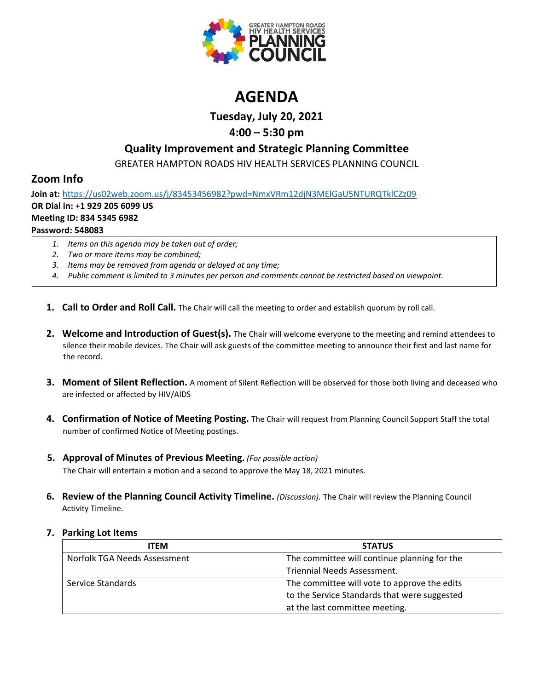

# **AGENDA**

**Tuesday, July 20, 2021**

# **4:00 – 5:30 pm**

# **Quality Improvement and Strategic Planning Committee**

GREATER HAMPTON ROADS HIV HEALTH SERVICES PLANNING COUNCIL

# **Zoom Info**

**Join at:** <https://us02web.zoom.us/j/83453456982?pwd=NmxVRm12djN3MElGaU5NTURQTklCZz09> **OR Dial in:** +**1 929 205 6099 US Meeting ID: 834 5345 6982 Password: 548083**

- *1. Items on this agenda may be taken out of order;*
- *2. Two or more items may be combined;*
- *3. Items may be removed from agenda or delayed at any time;*
- *4. Public comment is limited to 3 minutes per person and comments cannot be restricted based on viewpoint.*
- **1. Call to Order and Roll Call.** The Chair will call the meeting to order and establish quorum by roll call.
- **2. Welcome and Introduction of Guest(s).** The Chair will welcome everyone to the meeting and remind attendees to silence their mobile devices. The Chair will ask guests of the committee meeting to announce their first and last name for the record.
- **3. Moment of Silent Reflection.** A moment of Silent Reflection will be observed for those both living and deceased who are infected or affected by HIV/AIDS
- **4. Confirmation of Notice of Meeting Posting.** The Chair will request from Planning Council Support Staff the total number of confirmed Notice of Meeting postings.
- **5. Approval of Minutes of Previous Meeting.** *(For possible action)*

The Chair will entertain a motion and a second to approve the May 18, 2021 minutes.

**6. Review of the Planning Council Activity Timeline.** *(Discussion).* The Chair will review the Planning Council Activity Timeline.

## **7. Parking Lot Items**

| <b>ITEM</b>                  | <b>STATUS</b>                                |
|------------------------------|----------------------------------------------|
| Norfolk TGA Needs Assessment | The committee will continue planning for the |
|                              | Triennial Needs Assessment.                  |
| Service Standards            | The committee will vote to approve the edits |
|                              | to the Service Standards that were suggested |
|                              | at the last committee meeting.               |